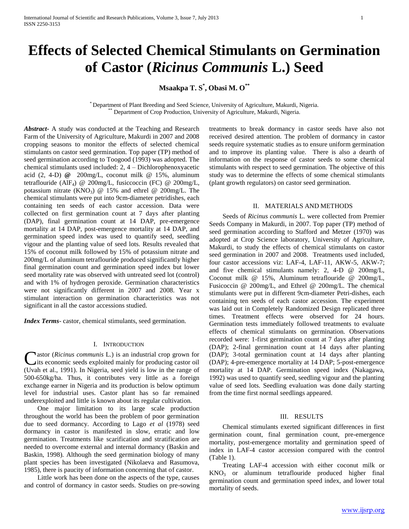# **Effects of Selected Chemical Stimulants on Germination of Castor (***Ricinus Communis* **L.) Seed**

**Msaakpa T. S\* , Obasi M. O\*\***

\* Department of Plant Breeding and Seed Science, University of Agriculture, Makurdi, Nigeria. Department of Crop Production, University of Agriculture, Makurdi, Nigeria.

*Abstract***-** A study was conducted at the Teaching and Research Farm of the University of Agriculture, Makurdi in 2007 and 2008 cropping seasons to monitor the effects of selected chemical stimulants on castor seed germination. Top paper (TP) method of seed germination according to Toogood (1993) was adopted. The chemical stimulants used included: 2, 4 – Dichlorophenoxyacetic acid (2, 4-D) **@** 200mg/L, coconut milk @ 15%, aluminum tetraflouride (AlF4) @ 200mg/L, fusiccoccin (FC) @ 200mg/L, potassium nitrate  $(KNO_3)$  @ 15% and ethrel @ 200mg/L. The chemical stimulants were put into 9cm-diameter petridishes, each containing ten seeds of each castor accession. Data were collected on first germination count at 7 days after planting (DAP), final germination count at 14 DAP, pre-emergence mortality at 14 DAP, post-emergence mortality at 14 DAP, and germination speed index was used to quantify seed, seedling vigour and the planting value of seed lots. Results revealed that 15% of coconut milk followed by 15% of potassium nitrate and 200mg/L of aluminum tetraflouride produced significantly higher final germination count and germination speed index but lower seed mortality rate was observed with untreated seed lot (control) and with 1% of hydrogen peroxide. Germination characteristics were not significantly different in 2007 and 2008. Year x stimulant interaction on germination characteristics was not significant in all the castor accessions studied.

*Index Terms*- castor, chemical stimulants, seed germination.

### I. INTRODUCTION

astor (*Ricinus communis* L.) is an industrial crop grown for Castor (Ricinus communis L.) is an industrial crop grown for<br>tis economic seeds exploited mainly for producing castor oil (Uvah et al., 1991). In Nigeria, seed yield is low in the range of 500-650kg/ha. Thus, it contributes very little as a foreign exchange earner in Nigeria and its production is below optimum level for industrial uses. Castor plant has so far remained underexploited and little is known about its regular cultivation.

 One major limitation to its large scale production throughout the world has been the problem of poor germination due to seed dormancy. According to Lago *et al* (1978) seed dormancy in castor is manifested in slow, erratic and low germination. Treatments like scarification and stratification are needed to overcome external and internal dormancy (Baskin and Baskin, 1998). Although the seed germination biology of many plant species has been investigated (Nikolaeva and Rasumova, 1985), there is paucity of information concerning that of castor.

 Little work has been done on the aspects of the type, causes and control of dormancy in castor seeds. Studies on pre-sowing treatments to break dormancy in castor seeds have also not received desired attention. The problem of dormancy in castor seeds require systematic studies as to ensure uniform germination and to improve its planting value. There is also a dearth of information on the response of castor seeds to some chemical stimulants with respect to seed germination. The objective of this study was to determine the effects of some chemical stimulants (plant growth regulators) on castor seed germination.

## II. MATERIALS AND METHODS

 Seeds of *Ricinus communis* L. were collected from Premier Seeds Company in Makurdi, in 2007. Top paper (TP) method of seed germination according to Stafford and Metzer (1970) was adopted at Crop Science laboratory, University of Agriculture, Makurdi, to study the effects of chemical stimulants on castor seed germination in 2007 and 2008. Treatments used included, four castor accessions viz: LAF-4, LAF-11, AKW-5, AKW-7; and five chemical stimulants namely: 2, 4-D @ 200mg/L, Coconut milk @ 15%, Aluminum tetraflouride @ 200mg/L, Fusicoccin @ 200mg/L, and Ethrel @ 200mg/L. The chemical stimulants were put in different 9cm-diameter Petri-dishes, each containing ten seeds of each castor accession. The experiment was laid out in Completely Randomized Design replicated three times. Treatment effects were observed for 24 hours. Germination tests immediately followed treatments to evaluate effects of chemical stimulants on germination. Observations recorded were: 1-first germination count at 7 days after planting (DAP); 2-final germination count at 14 days after planting (DAP); 3-total germination count at 14 days after planting (DAP); 4-pre-emergence mortality at 14 DAP; 5-post-emergence mortality at 14 DAP. Germination speed index (Nakagawa, 1992) was used to quantify seed, seedling vigour and the planting value of seed lots. Seedling evaluation was done daily starting from the time first normal seedlings appeared.

## III. RESULTS

 Chemical stimulants exerted significant differences in first germination count, final germination count, pre-emergence mortality, post-emergence mortality and germination speed of index in LAF-4 castor accession compared with the control (Table 1).

 Treating LAF-4 accession with either coconut milk or  $KNO<sub>3</sub>$  or aluminum tetraflouride produced higher final germination count and germination speed index, and lower total mortality of seeds.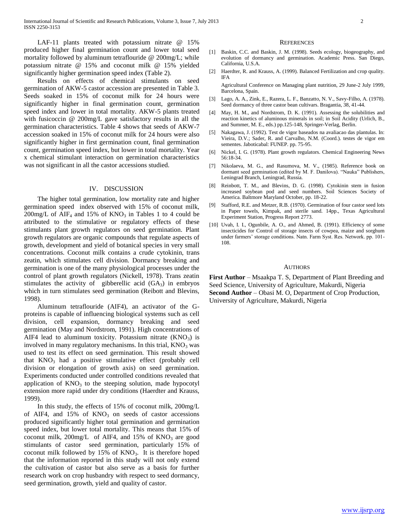LAF-11 plants treated with potassium nitrate @ 15% produced higher final germination count and lower total seed mortality followed by aluminum tetraflouride @ 200mg/L; while potassium nitrate @ 15% and coconut milk @ 15% yielded significantly higher germination speed index (Table 2).

 Results on effects of chemical stimulants on seed germination of AKW-5 castor accession are presented in Table 3. Seeds soaked in 15% of coconut milk for 24 hours were significantly higher in final germination count, germination speed index and lower in total mortality. AKW-5 plants treated with fusicoccin @ 200mg/L gave satisfactory results in all the germination characteristics. Table 4 shows that seeds of AKW-7 accession soaked in 15% of coconut milk for 24 hours were also significantly higher in first germination count, final germination count, germination speed index, but lower in total mortality. Year x chemical stimulant interaction on germination characteristics was not significant in all the castor accessions studied.

#### IV. DISCUSSION

 The higher total germination, low mortality rate and higher germination speed index observed with 15% of coconut milk,  $200$ mg/L of AIF<sub>4</sub> and 15% of KNO<sub>3</sub> in Tables 1 to 4 could be attributed to the stimulative or regulatory effects of these stimulants plant growth regulators on seed germination. Plant growth regulators are organic compounds that regulate aspects of growth, development and yield of botanical species in very small concentrations. Coconut milk contains a crude cytokinin, trans zeatin, which stimulates cell division. Dormancy breaking and germination is one of the many physiological processes under the control of plant growth regulators (Nickell, 1978). Trans zeatin stimulates the activity of gibberellic acid  $(GA_3)$  in embryos which in turn stimulates seed germination (Reibott and Blevins, 1998).

 Aluminum tetraflouride (AIF4), an activator of the Gproteins is capable of influencing biological systems such as cell division, cell expansion, dormancy breaking and seed germination (May and Nordstrom, 1991). High concentrations of AIF4 lead to aluminum toxicity. Potassium nitrate  $(KNO<sub>3</sub>)$  is involved in many regulatory mechanisms. In this trial,  $KNO<sub>3</sub>$  was used to test its effect on seed germination. This result showed that  $KNO<sub>3</sub>$  had a positive stimulative effect (probably cell division or elongation of growth axis) on seed germination. Experiments conducted under controlled conditions revealed that application of  $KNO<sub>3</sub>$  to the steeping solution, made hypocotyl extension more rapid under dry conditions (Haerdter and Krauss, 1999).

 In this study, the effects of 15% of coconut milk, 200mg/L of AIF4, and  $15\%$  of KNO<sub>3</sub> on seeds of castor accessions produced significantly higher total germination and germination speed index, but lower total mortality. This means that 15% of coconut milk,  $200$ mg/L of AIF4, and 15% of  $KNO<sub>3</sub>$  are good stimulants of castor seed germination, particularly 15% of coconut milk followed by  $15\%$  of  $KNO<sub>3</sub>$ . It is therefore hoped that the information reported in this study will not only extend the cultivation of castor but also serve as a basis for further research work on crop husbandry with respect to seed dormancy, seed germination, growth, yield and quality of castor.

#### **REFERENCES**

- [1] Baskin, C.C. and Baskin, J. M. (1998). Seeds ecology, biogeography, and evolution of dormancy and germination. Academic Press. San Diego, California, U.S.A.
- [2] Haerdter, R. and Krauss, A. (1999). Balanced Fertilization and crop quality. IFA

Agricultural Conference on Managing plant nutrition, 29 June-2 July 1999, Barcelona, Spain.

- [3] Lago, A. A., Zink, E., Razera, L. F., Banzatto, N. V., Savy-Filho, A. (1978). Seed dormancy of three castor bean cultivars. Bragantia, 38, 41-44.
- [4] May, H. M., and Nordstrom, D. K. (1991). Assessing the solubilities and reaction kinetics of aluminous minerals in soil; in Soil Acidity (Urlich, B., and Summer, M. E., eds.) pp.125-148, Springer-Verlag, Berlin.
- [5] Nakagawa, J. (1992). Test de vigor baseados na avaliacao das plantulas. In: Vieira, D.V.; Sader, R. and Carvalho, N.M. (Coord.). testes de vigor em sementes. Jaboticabal: FUNEP. pp. 75-95.
- [6] Nickel, I. G. (1978). Plant growth regulators. Chemical Engineering News 56:18-34.
- [7] Nikolaeva, M. G., and Rasumova, M. V., (1985). Reference book on dormant seed germination (edited by M. F. Danilova). "Nauka" Publishers, Leningrad Branch, Leningrad, Russia.
- [8] Reinbott, T. M., and Blevins, D. G. (1998). Cytokinin stem in fusion increased soybean pod and seed numbers. Soil Sciences Society of America. Baltmore Maryland October, pp. 18-22.
- [9] Stafford, R.E. and Metzer, R.B. (1970). Germination of four castor seed lots in Paper towels, Kimpak, and sterile sand. 14pp., Texas Agricultural Experiment Station, Progress Report 2773.
- [10] Uvah, I. I., Ogunbile, A. O., and Ahmed, B. (1991). Efficiency of some insecticides for Control of storage insects of cowpea, maize and sorghum under farmers' storage conditions. Natn. Farm Syst. Res. Network. pp. 101- 108.

#### AUTHORS

**First Author** – Msaakpa T. S, Department of Plant Breeding and Seed Science, University of Agriculture, Makurdi, Nigeria **Second Author** – Obasi M. O, Department of Crop Production, University of Agriculture, Makurdi, Nigeria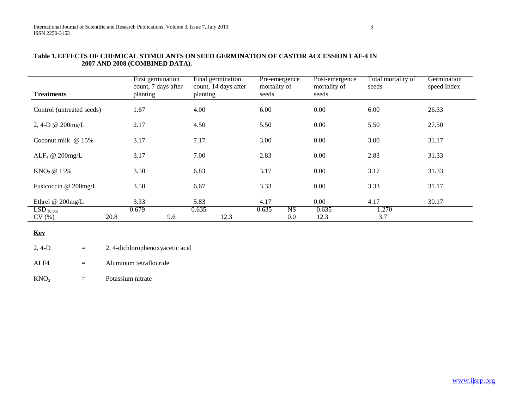| <b>Treatments</b>             | First germination<br>count, 7 days after<br>planting | Final germination<br>count, 14 days after<br>planting | Pre-emergence<br>mortality of<br>seeds | Post-emergence<br>mortality of<br>seeds | Total mortality of<br>seeds | Germination<br>speed Index |
|-------------------------------|------------------------------------------------------|-------------------------------------------------------|----------------------------------------|-----------------------------------------|-----------------------------|----------------------------|
| Control (untreated seeds)     | 1.67                                                 | 4.00                                                  | 6.00                                   | 0.00                                    | 6.00                        | 26.33                      |
| 2, 4-D @ $200$ mg/L           | 2.17                                                 | 4.50                                                  | 5.50                                   | 0.00                                    | 5.50                        | 27.50                      |
| Coconut milk $@15\%$          | 3.17                                                 | 7.17                                                  | 3.00                                   | 0.00                                    | 3.00                        | 31.17                      |
| ALF <sub>4</sub> @ $200$ mg/L | 3.17                                                 | 7.00                                                  | 2.83                                   | 0.00                                    | 2.83                        | 31.33                      |
| $KNO3$ @ 15%                  | 3.50                                                 | 6.83                                                  | 3.17                                   | 0.00                                    | 3.17                        | 31.33                      |
| Fusicoccin @ 200mg/L          | 3.50                                                 | 6.67                                                  | 3.33                                   | 0.00                                    | 3.33                        | 31.17                      |
| Ethrel $@$ 200mg/L            | 3.33                                                 | 5.83                                                  | 4.17                                   | 0.00                                    | 4.17                        | 30.17                      |
| $LSD_{(0.05)}$<br>CV(%)       | 0.679<br>20.8<br>9.6                                 | 0.635<br>12.3                                         | 0.635<br><b>NS</b><br>0.0              | 0.635<br>12.3                           | 1.270<br>3.7                |                            |

## **Table 1.EFFECTS OF CHEMICAL STIMULANTS ON SEED GERMINATION OF CASTOR ACCESSION LAF-4 IN 2007 AND 2008 (COMBINED DATA).**

# **Key**

 $2, 4-D$  = 2, 4-dichlorophenoxyacetic acid

ALF4 = Aluminum tetraflouride

 $KNO<sub>3</sub>$  = Potassium nitrate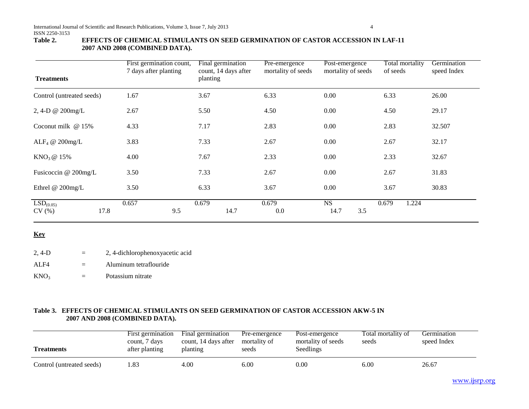## **Table 2. EFFECTS OF CHEMICAL STIMULANTS ON SEED GERMINATION OF CASTOR ACCESSION IN LAF-11 2007 AND 2008 (COMBINED DATA).**

| <b>Treatments</b>              | First germination count,<br>7 days after planting | Final germination<br>count, 14 days after<br>planting | Pre-emergence<br>mortality of seeds | Post-emergence<br>mortality of seeds | Total mortality<br>of seeds | Germination<br>speed Index |
|--------------------------------|---------------------------------------------------|-------------------------------------------------------|-------------------------------------|--------------------------------------|-----------------------------|----------------------------|
| Control (untreated seeds)      | 1.67                                              | 3.67                                                  | 6.33                                | 0.00                                 | 6.33                        | 26.00                      |
| 2, 4-D @ 200mg/L               | 2.67                                              | 5.50                                                  | 4.50                                | 0.00                                 | 4.50                        | 29.17                      |
| Coconut milk $@15\%$           | 4.33                                              | 7.17                                                  | 2.83                                | 0.00                                 | 2.83                        | 32.507                     |
| ALF <sub>4</sub> @ $200$ mg/L  | 3.83                                              | 7.33                                                  | 2.67                                | 0.00                                 | 2.67                        | 32.17                      |
| $KNO3$ @ 15%                   | 4.00                                              | 7.67                                                  | 2.33                                | 0.00                                 | 2.33                        | 32.67                      |
| Fusicoccin @ 200mg/L           | 3.50                                              | 7.33                                                  | 2.67                                | 0.00                                 | 2.67                        | 31.83                      |
| Ethrel $@$ 200mg/L             | 3.50                                              | 6.33                                                  | 3.67                                | 0.00                                 | 3.67                        | 30.83                      |
| LSD <sub>(0.05)</sub><br>CV(%) | 0.657<br>17.8                                     | 0.679<br>14.7<br>9.5                                  | 0.679<br>0.0                        | <b>NS</b><br>14.7<br>3.5             | 0.679<br>1.224              |                            |

# **Key**

| $2, 4-D$ | 2, 4-dichlorophenoxyacetic acid |
|----------|---------------------------------|
| ALF4     | Aluminum tetraflouride          |

 $KNO<sub>3</sub>$  = Potassium nitrate

# **Table 3. EFFECTS OF CHEMICAL STIMULANTS ON SEED GERMINATION OF CASTOR ACCESSION AKW-5 IN 2007 AND 2008 (COMBINED DATA).**

| <b>Treatments</b>         | First germination<br>count, 7 days<br>after planting | Final germination<br>count, 14 days after<br>planting | Pre-emergence<br>mortality of<br>seeds | Post-emergence<br>mortality of seeds<br>Seedlings | Total mortality of<br>seeds | Germination<br>speed Index |
|---------------------------|------------------------------------------------------|-------------------------------------------------------|----------------------------------------|---------------------------------------------------|-----------------------------|----------------------------|
| Control (untreated seeds) | .83                                                  | 4.00                                                  | 6.00                                   | $0.00\,$                                          | 6.00                        | 26.67                      |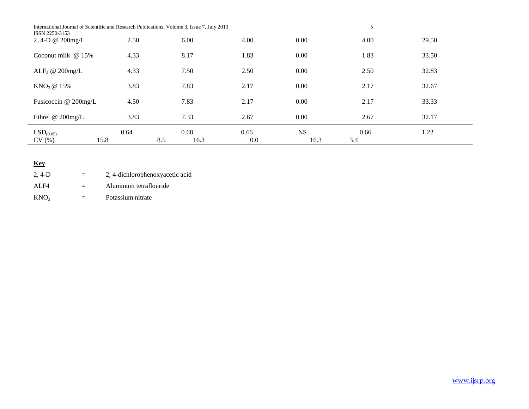| International Journal of Scientific and Research Publications, Volume 3, Issue 7, July 2013<br>ISSN 2250-3153 |      |             |      |           | 5    |       |
|---------------------------------------------------------------------------------------------------------------|------|-------------|------|-----------|------|-------|
| 2, 4-D $@$ 200mg/L                                                                                            | 2.50 | 6.00        | 4.00 | 0.00      | 4.00 | 29.50 |
| Coconut milk $@15\%$                                                                                          | 4.33 | 8.17        | 1.83 | 0.00      | 1.83 | 33.50 |
| ALF <sub>4</sub> @ $200$ mg/L                                                                                 | 4.33 | 7.50        | 2.50 | 0.00      | 2.50 | 32.83 |
| $KNO3$ @ 15%                                                                                                  | 3.83 | 7.83        | 2.17 | 0.00      | 2.17 | 32.67 |
| Fusicoccin @ 200mg/L                                                                                          | 4.50 | 7.83        | 2.17 | 0.00      | 2.17 | 33.33 |
| Ethrel @ 200mg/L                                                                                              | 3.83 | 7.33        | 2.67 | 0.00      | 2.67 | 32.17 |
| LSD <sub>(0.05)</sub>                                                                                         | 0.64 | 0.68        | 0.66 | <b>NS</b> | 0.66 | 1.22  |
| CV(%)<br>15.8                                                                                                 |      | 8.5<br>16.3 | 0.0  | 16.3      | 3.4  |       |

# **Key**

| 2.4-D            | $=$ | 2, 4-dichlorophenoxyacetic acid |
|------------------|-----|---------------------------------|
| ALF4             | $=$ | Aluminum tetraflouride          |
| KNO <sub>3</sub> | $=$ | Potassium nitrate               |